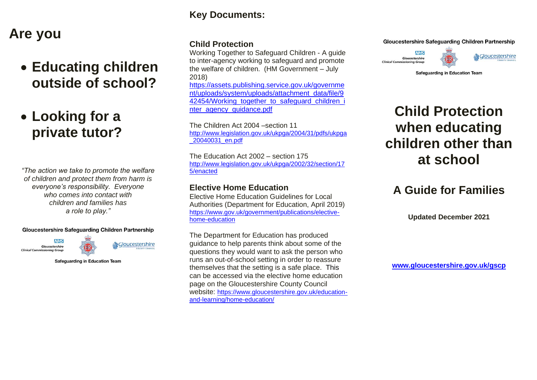# **Are you**

# • **Educating children outside of school?**

# • **Looking for a private tutor?**

*"The action we take to promote the welfare of children and protect them from harm is everyone's responsibility. Everyone who comes into contact with children and families has a role to play."*

#### **Gloucestershire Safeguarding Children Partnership**



& Gloucestershire

**Safeguarding in Education Team** 

## **Key Documents:**

### **Child Protection**

Working Together to Safeguard Children - A guide to inter-agency working to safeguard and promote the welfare of children. (HM Government – July 2018)

[https://assets.publishing.service.gov.uk/governme](https://assets.publishing.service.gov.uk/government/uploads/system/uploads/attachment_data/file/942454/Working_together_to_safeguard_children_inter_agency_guidance.pdf) [nt/uploads/system/uploads/attachment\\_data/file/9](https://assets.publishing.service.gov.uk/government/uploads/system/uploads/attachment_data/file/942454/Working_together_to_safeguard_children_inter_agency_guidance.pdf) [42454/Working\\_together\\_to\\_safeguard\\_children\\_i](https://assets.publishing.service.gov.uk/government/uploads/system/uploads/attachment_data/file/942454/Working_together_to_safeguard_children_inter_agency_guidance.pdf) [nter\\_agency\\_guidance.pdf](https://assets.publishing.service.gov.uk/government/uploads/system/uploads/attachment_data/file/942454/Working_together_to_safeguard_children_inter_agency_guidance.pdf)

The Children Act 2004 –section 11 [http://www.legislation.gov.uk/ukpga/2004/31/pdfs/ukpga](http://www.legislation.gov.uk/ukpga/2004/31/pdfs/ukpga_20040031_en.pdf) [\\_20040031\\_en.pdf](http://www.legislation.gov.uk/ukpga/2004/31/pdfs/ukpga_20040031_en.pdf)

The Education Act 2002 – section 175 [http://www.legislation.gov.uk/ukpga/2002/32/section/17](http://www.legislation.gov.uk/ukpga/2002/32/section/175/enacted) [5/enacted](http://www.legislation.gov.uk/ukpga/2002/32/section/175/enacted)

### **Elective Home Education**

Elective Home Education Guidelines for Local Authorities (Department for Education, April 2019) [https://www.gov.uk/government/publications/elective](https://www.gov.uk/government/publications/elective-home-education)[home-education](https://www.gov.uk/government/publications/elective-home-education)

The Department for Education has produced guidance to help parents think about some of the questions they would want to ask the person who runs an out-of-school setting in order to reassure themselves that the setting is a safe place. This can be accessed via the elective home education page on the Gloucestershire County Council website: [https://www.gloucestershire.gov.uk/education](https://www.gloucestershire.gov.uk/education-and-learning/home-education/)[and-learning/home-education/](https://www.gloucestershire.gov.uk/education-and-learning/home-education/)

### **Gloucestershire Safeguarding Children Partnership**





**Safeguarding in Education Team** 

# **Child Protection when educating children other than at school**

## **A Guide for Families**

**Updated December 2021**

**[www.gloucestershire.gov.uk/gscp](http://www.gloucestershire.gov.uk/gscp)**